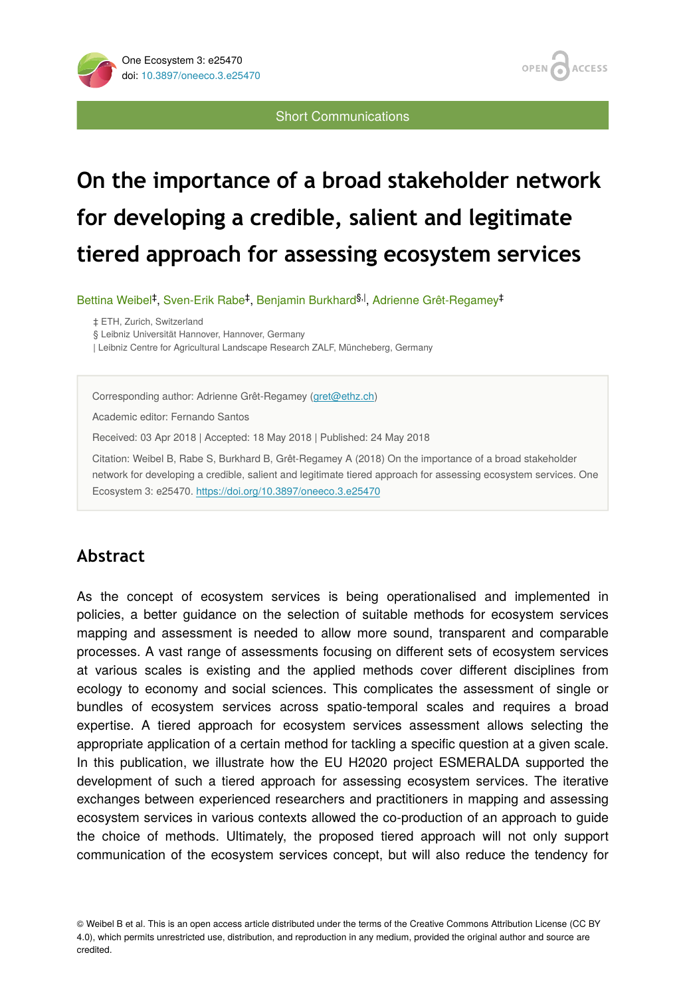

Short Communications

# **On the importance of a broad stakeholder network for developing a credible, salient and legitimate tiered approach for assessing ecosystem services**

Bettina Weibel<sup>‡</sup>, Sven-Erik Rabe<sup>‡</sup>, Benjamin Burkhard<sup>§, |</sup>, Adrienne Grêt-Regamey<sup>‡</sup>

‡ ETH, Zurich, Switzerland

§ Leibniz Universität Hannover, Hannover, Germany

| Leibniz Centre for Agricultural Landscape Research ZALF, Müncheberg, Germany

Corresponding author: Adrienne Grêt-Regamey ([gret@ethz.ch](mailto:gret@ethz.ch))

Academic editor: Fernando Santos

Received: 03 Apr 2018 | Accepted: 18 May 2018 | Published: 24 May 2018

Citation: Weibel B, Rabe S, Burkhard B, Grêt-Regamey A (2018) On the importance of a broad stakeholder network for developing a credible, salient and legitimate tiered approach for assessing ecosystem services. One Ecosystem 3: e25470. <https://doi.org/10.3897/oneeco.3.e25470>

# **Abstract**

As the concept of ecosystem services is being operationalised and implemented in policies, a better guidance on the selection of suitable methods for ecosystem services mapping and assessment is needed to allow more sound, transparent and comparable processes. A vast range of assessments focusing on different sets of ecosystem services at various scales is existing and the applied methods cover different disciplines from ecology to economy and social sciences. This complicates the assessment of single or bundles of ecosystem services across spatio-temporal scales and requires a broad expertise. A tiered approach for ecosystem services assessment allows selecting the appropriate application of a certain method for tackling a specific question at a given scale. In this publication, we illustrate how the EU H2020 project ESMERALDA supported the development of such a tiered approach for assessing ecosystem services. The iterative exchanges between experienced researchers and practitioners in mapping and assessing ecosystem services in various contexts allowed the co-production of an approach to guide the choice of methods. Ultimately, the proposed tiered approach will not only support communication of the ecosystem services concept, but will also reduce the tendency for

© Weibel B et al. This is an open access article distributed under the terms of the Creative Commons Attribution License (CC BY 4.0), which permits unrestricted use, distribution, and reproduction in any medium, provided the original author and source are credited.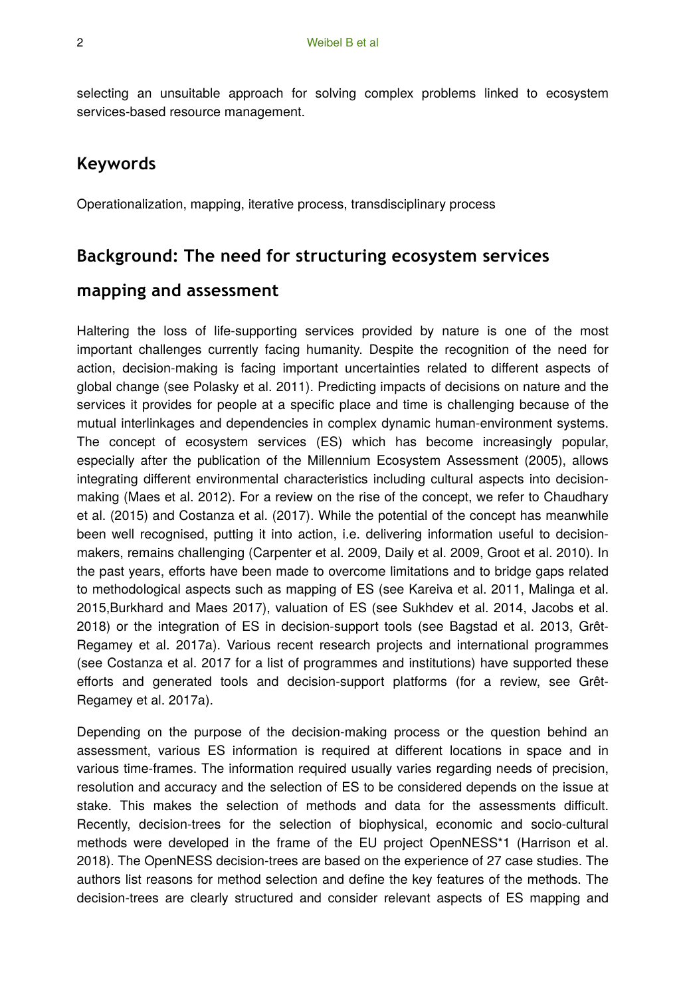selecting an unsuitable approach for solving complex problems linked to ecosystem services-based resource management.

#### **Keywords**

Operationalization, mapping, iterative process, transdisciplinary process

#### **Background: The need for structuring ecosystem services**

#### **mapping and assessment**

Haltering the loss of life-supporting services provided by nature is one of the most important challenges currently facing humanity. Despite the recognition of the need for action, decision-making is facing important uncertainties related to different aspects of global change (see Polasky et al. 2011). Predicting impacts of decisions on nature and the services it provides for people at a specific place and time is challenging because of the mutual interlinkages and dependencies in complex dynamic human-environment systems. The concept of ecosystem services (ES) which has become increasingly popular, especially after the publication of the Millennium Ecosystem Assessment (2005), allows integrating different environmental characteristics including cultural aspects into decisionmaking (Maes et al. 2012). For a review on the rise of the concept, we refer to Chaudhary et al. (2015) and Costanza et al. (2017). While the potential of the concept has meanwhile been well recognised, putting it into action, i.e. delivering information useful to decisionmakers, remains challenging (Carpenter et al. 2009, Daily et al. 2009, Groot et al. 2010). In the past years, efforts have been made to overcome limitations and to bridge gaps related to methodological aspects such as mapping of ES (see Kareiva et al. 2011, Malinga et al. 2015,Burkhard and Maes 2017), valuation of ES (see Sukhdev et al. 2014, Jacobs et al. 2018) or the integration of ES in decision-support tools (see Bagstad et al. 2013, Grêt-Regamey et al. 2017a). Various recent research projects and international programmes (see Costanza et al. 2017 for a list of programmes and institutions) have supported these efforts and generated tools and decision-support platforms (for a review, see Grêt-Regamey et al. 2017a).

Depending on the purpose of the decision-making process or the question behind an assessment, various ES information is required at different locations in space and in various time-frames. The information required usually varies regarding needs of precision, resolution and accuracy and the selection of ES to be considered depends on the issue at stake. This makes the selection of methods and data for the assessments difficult. Recently, decision-trees for the selection of biophysical, economic and socio-cultural methods were developed in the frame of the EU project OpenNESS\*1 (Harrison et al. 2018). The OpenNESS decision-trees are based on the experience of 27 case studies. The authors list reasons for method selection and define the key features of the methods. The decision-trees are clearly structured and consider relevant aspects of ES mapping and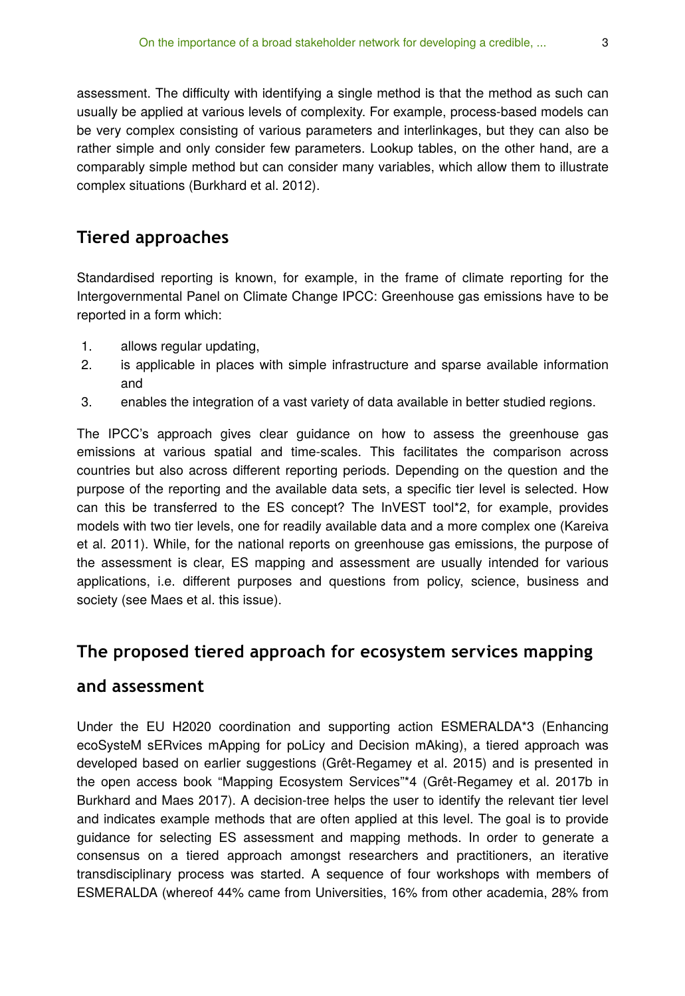assessment. The difficulty with identifying a single method is that the method as such can usually be applied at various levels of complexity. For example, process-based models can be very complex consisting of various parameters and interlinkages, but they can also be rather simple and only consider few parameters. Lookup tables, on the other hand, are a comparably simple method but can consider many variables, which allow them to illustrate complex situations (Burkhard et al. 2012).

### **Tiered approaches**

Standardised reporting is known, for example, in the frame of climate reporting for the Intergovernmental Panel on Climate Change IPCC: Greenhouse gas emissions have to be reported in a form which:

- 1. allows regular updating,
- 2. is applicable in places with simple infrastructure and sparse available information and
- 3. enables the integration of a vast variety of data available in better studied regions.

The IPCC's approach gives clear guidance on how to assess the greenhouse gas emissions at various spatial and time-scales. This facilitates the comparison across countries but also across different reporting periods. Depending on the question and the purpose of the reporting and the available data sets, a specific tier level is selected. How can this be transferred to the ES concept? The InVEST tool\*2, for example, provides models with two tier levels, one for readily available data and a more complex one (Kareiva et al. 2011). While, for the national reports on greenhouse gas emissions, the purpose of the assessment is clear, ES mapping and assessment are usually intended for various applications, i.e. different purposes and questions from policy, science, business and society (see Maes et al. this issue).

#### **The proposed tiered approach for ecosystem services mapping**

#### **and assessment**

Under the EU H2020 coordination and supporting action ESMERALDA\*3 (Enhancing ecoSysteM sERvices mApping for poLicy and Decision mAking), a tiered approach was developed based on earlier suggestions (Grêt-Regamey et al. 2015) and is presented in the open access book "Mapping Ecosystem Services"\*4 (Grêt-Regamey et al. 2017b in Burkhard and Maes 2017). A decision-tree helps the user to identify the relevant tier level and indicates example methods that are often applied at this level. The goal is to provide guidance for selecting ES assessment and mapping methods. In order to generate a consensus on a tiered approach amongst researchers and practitioners, an iterative transdisciplinary process was started. A sequence of four workshops with members of ESMERALDA (whereof 44% came from Universities, 16% from other academia, 28% from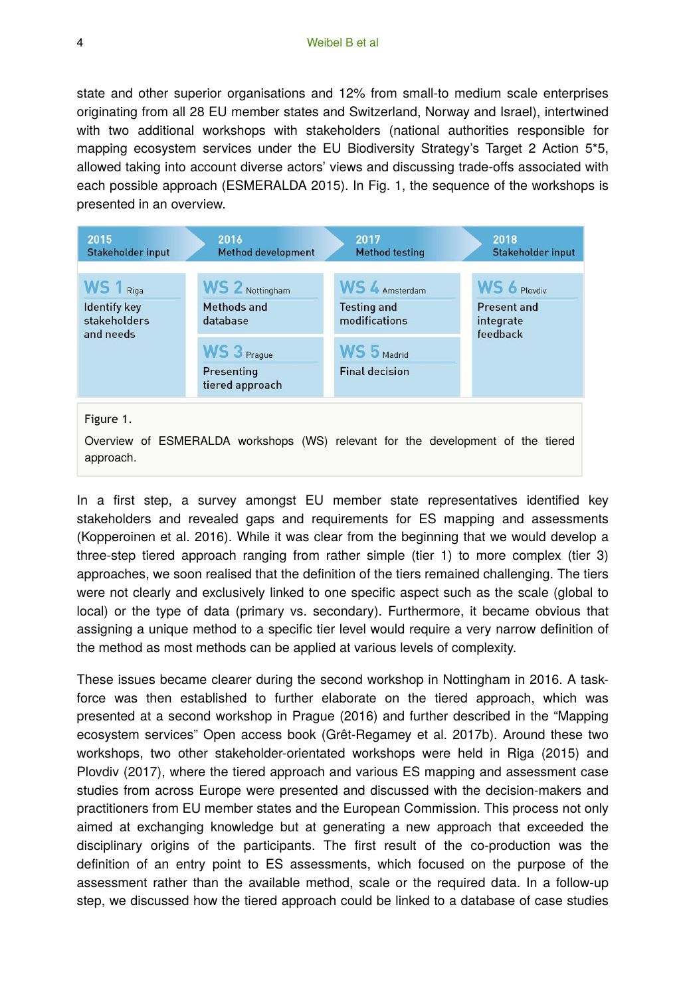state and other superior organisations and 12% from small-to medium scale enterprises originating from all 28 EU member states and Switzerland, Norway and Israel), intertwined with two additional workshops with stakeholders (national authorities responsible for mapping ecosystem services under the EU Biodiversity Strategy's Target 2 Action 5\*5, allowed taking into account diverse actors' views and discussing trade-offs associated with each possible approach (ESMERALDA 2015). In Fig. 1, the sequence of the workshops is presented in an overview.



In a first step, a survey amongst EU member state representatives identified key stakeholders and revealed gaps and requirements for ES mapping and assessments (Kopperoinen et al. 2016). While it was clear from the beginning that we would develop a three-step tiered approach ranging from rather simple (tier 1) to more complex (tier 3) approaches, we soon realised that the definition of the tiers remained challenging. The tiers were not clearly and exclusively linked to one specific aspect such as the scale (global to local) or the type of data (primary vs. secondary). Furthermore, it became obvious that assigning a unique method to a specific tier level would require a very narrow definition of the method as most methods can be applied at various levels of complexity.

These issues became clearer during the second workshop in Nottingham in 2016. A taskforce was then established to further elaborate on the tiered approach, which was presented at a second workshop in Prague (2016) and further described in the "Mapping ecosystem services" Open access book (Grêt-Regamey et al. 2017b). Around these two workshops, two other stakeholder-orientated workshops were held in Riga (2015) and Plovdiv (2017), where the tiered approach and various ES mapping and assessment case studies from across Europe were presented and discussed with the decision-makers and practitioners from EU member states and the European Commission. This process not only aimed at exchanging knowledge but at generating a new approach that exceeded the disciplinary origins of the participants. The first result of the co-production was the definition of an entry point to ES assessments, which focused on the purpose of the assessment rather than the available method, scale or the required data. In a follow-up step, we discussed how the tiered approach could be linked to a database of case studies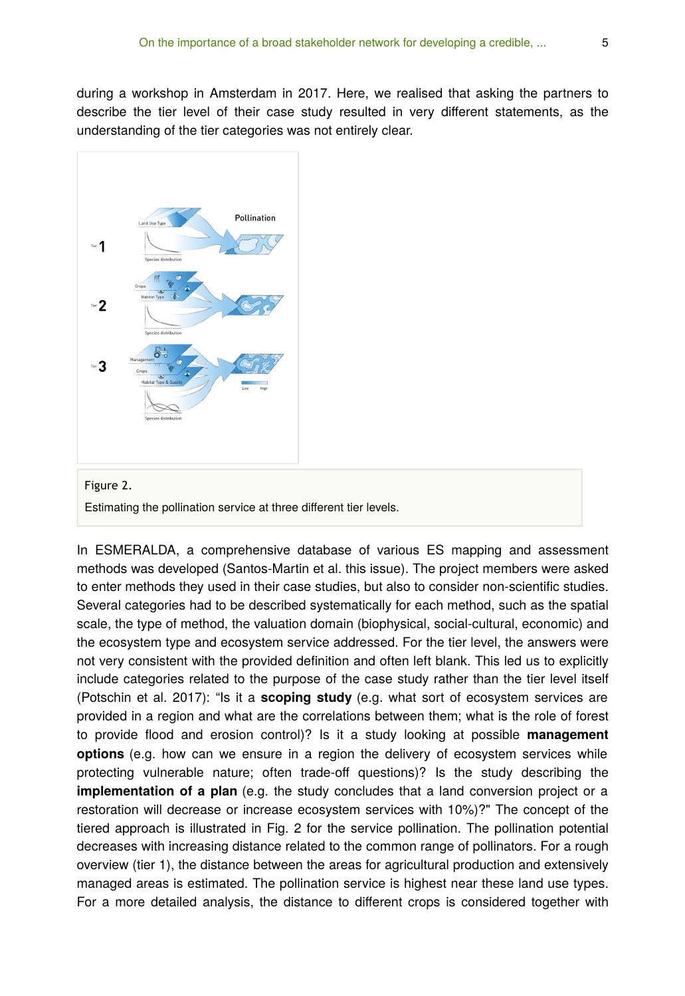during a workshop in Amsterdam in 2017. Here, we realised that asking the partners to describe the tier level of their case study resulted in very different statements, as the understanding of the tier categories was not entirely clear.



#### Figure 2.

Estimating the pollination service at three different tier levels.

In ESMERALDA, a comprehensive database of various ES mapping and assessment methods was developed (Santos-Martin et al. this issue). The project members were asked to enter methods they used in their case studies, but also to consider non-scientific studies. Several categories had to be described systematically for each method, such as the spatial scale, the type of method, the valuation domain (biophysical, social-cultural, economic) and the ecosystem type and ecosystem service addressed. For the tier level, the answers were not very consistent with the provided definition and often left blank. This led us to explicitly include categories related to the purpose of the case study rather than the tier level itself (Potschin et al. 2017): "Is it a **scoping study** (e.g. what sort of ecosystem services are provided in a region and what are the correlations between them; what is the role of forest to provide flood and erosion control)? Is it a study looking at possible **management options** (e.g. how can we ensure in a region the delivery of ecosystem services while protecting vulnerable nature; often trade-off questions)? Is the study describing the **implementation of a plan** (e.g. the study concludes that a land conversion project or a restoration will decrease or increase ecosystem services with 10%)?" The concept of the tiered approach is illustrated in Fig. 2 for the service pollination. The pollination potential decreases with increasing distance related to the common range of pollinators. For a rough overview (tier 1), the distance between the areas for agricultural production and extensively managed areas is estimated. The pollination service is highest near these land use types. For a more detailed analysis, the distance to different crops is considered together with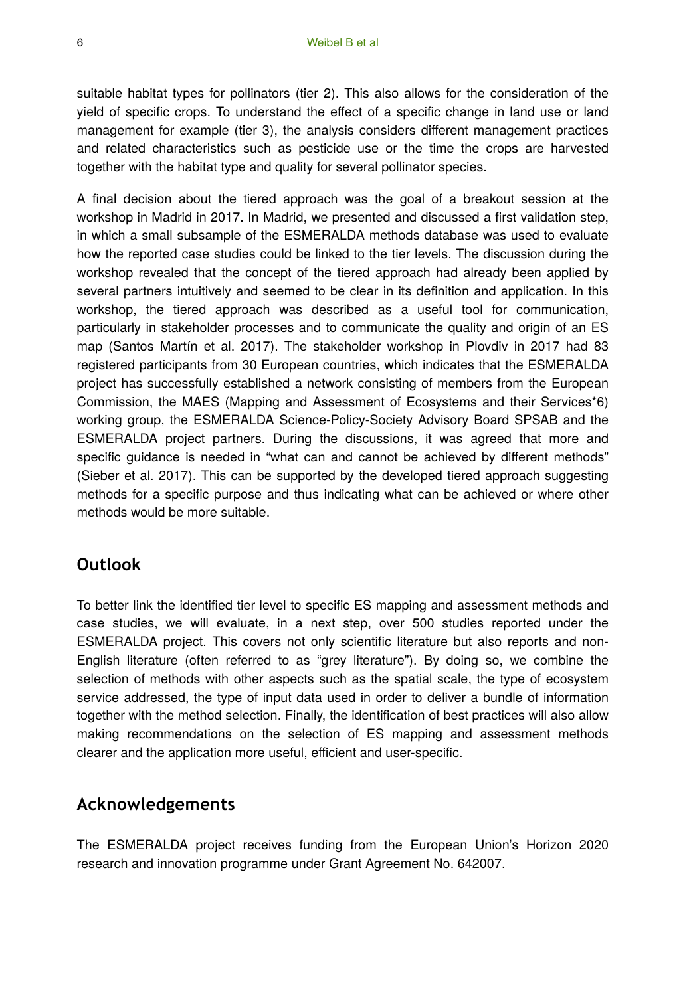suitable habitat types for pollinators (tier 2). This also allows for the consideration of the yield of specific crops. To understand the effect of a specific change in land use or land management for example (tier 3), the analysis considers different management practices and related characteristics such as pesticide use or the time the crops are harvested together with the habitat type and quality for several pollinator species.

A final decision about the tiered approach was the goal of a breakout session at the workshop in Madrid in 2017. In Madrid, we presented and discussed a first validation step, in which a small subsample of the ESMERALDA methods database was used to evaluate how the reported case studies could be linked to the tier levels. The discussion during the workshop revealed that the concept of the tiered approach had already been applied by several partners intuitively and seemed to be clear in its definition and application. In this workshop, the tiered approach was described as a useful tool for communication, particularly in stakeholder processes and to communicate the quality and origin of an ES map (Santos Martín et al. 2017). The stakeholder workshop in Plovdiv in 2017 had 83 registered participants from 30 European countries, which indicates that the ESMERALDA project has successfully established a network consisting of members from the European Commission, the MAES (Mapping and Assessment of Ecosystems and their Services\*6) working group, the ESMERALDA Science-Policy-Society Advisory Board SPSAB and the ESMERALDA project partners. During the discussions, it was agreed that more and specific guidance is needed in "what can and cannot be achieved by different methods" (Sieber et al. 2017). This can be supported by the developed tiered approach suggesting methods for a specific purpose and thus indicating what can be achieved or where other methods would be more suitable.

## **Outlook**

To better link the identified tier level to specific ES mapping and assessment methods and case studies, we will evaluate, in a next step, over 500 studies reported under the ESMERALDA project. This covers not only scientific literature but also reports and non-English literature (often referred to as "grey literature"). By doing so, we combine the selection of methods with other aspects such as the spatial scale, the type of ecosystem service addressed, the type of input data used in order to deliver a bundle of information together with the method selection. Finally, the identification of best practices will also allow making recommendations on the selection of ES mapping and assessment methods clearer and the application more useful, efficient and user-specific.

## **Acknowledgements**

The ESMERALDA project receives funding from the European Union's Horizon 2020 research and innovation programme under Grant Agreement No. 642007.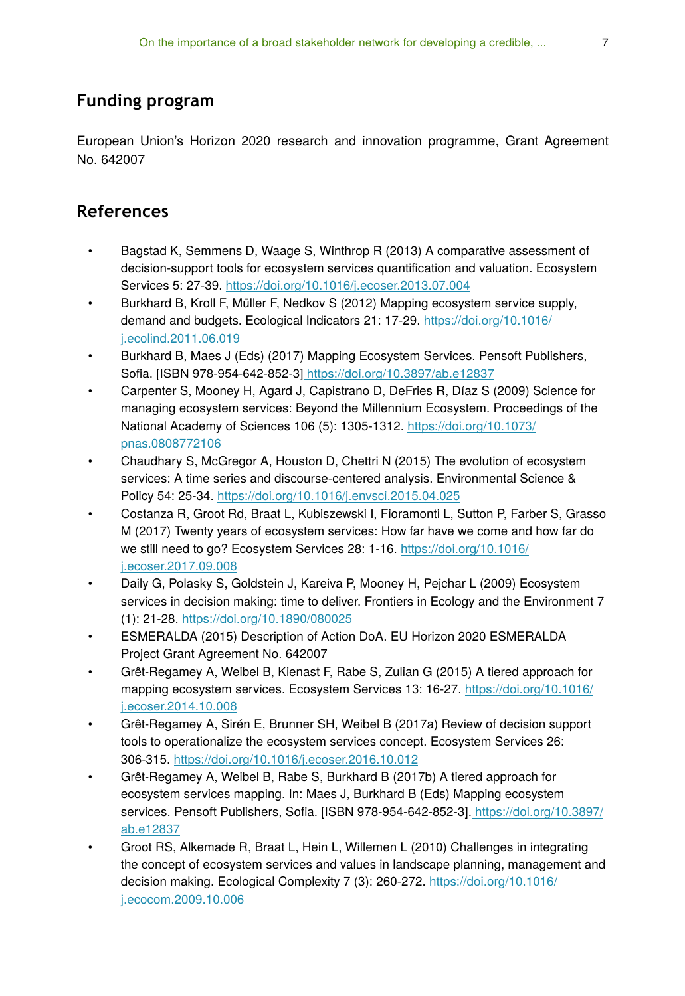# **Funding program**

European Union's Horizon 2020 research and innovation programme, Grant Agreement No. 642007

### **References**

- Bagstad K, Semmens D, Waage S, Winthrop R (2013) A comparative assessment of decision-support tools for ecosystem services quantification and valuation. Ecosystem Services 5: 27‑39.<https://doi.org/10.1016/j.ecoser.2013.07.004>
- Burkhard B, Kroll F, Müller F, Nedkov S (2012) Mapping ecosystem service supply, demand and budgets. Ecological Indicators 21: 17‑29. [https://doi.org/10.1016/](https://doi.org/10.1016/j.ecolind.2011.06.019) [j.ecolind.2011.06.019](https://doi.org/10.1016/j.ecolind.2011.06.019)
- Burkhard B, Maes J (Eds) (2017) Mapping Ecosystem Services. Pensoft Publishers, Sofia. [ISBN 978-954-642-852-3[\] https://doi.org/10.3897/ab.e12837](https://doi.org/10.3897/ab.e12837)
- Carpenter S, Mooney H, Agard J, Capistrano D, DeFries R, Díaz S (2009) Science for managing ecosystem services: Beyond the Millennium Ecosystem. Proceedings of the National Academy of Sciences 106 (5): 1305‑1312. [https://doi.org/10.1073/](https://doi.org/10.1073/pnas.0808772106) [pnas.0808772106](https://doi.org/10.1073/pnas.0808772106)
- Chaudhary S, McGregor A, Houston D, Chettri N (2015) The evolution of ecosystem services: A time series and discourse-centered analysis. Environmental Science & Policy 54: 25‑34.<https://doi.org/10.1016/j.envsci.2015.04.025>
- Costanza R, Groot Rd, Braat L, Kubiszewski I, Fioramonti L, Sutton P, Farber S, Grasso M (2017) Twenty years of ecosystem services: How far have we come and how far do we still need to go? Ecosystem Services 28: 1‑16. [https://doi.org/10.1016/](https://doi.org/10.1016/j.ecoser.2017.09.008) [j.ecoser.2017.09.008](https://doi.org/10.1016/j.ecoser.2017.09.008)
- Daily G, Polasky S, Goldstein J, Kareiva P, Mooney H, Pejchar L (2009) Ecosystem services in decision making: time to deliver. Frontiers in Ecology and the Environment 7 (1): 21‑28.<https://doi.org/10.1890/080025>
- ESMERALDA (2015) Description of Action DoA. EU Horizon 2020 ESMERALDA Project Grant Agreement No. 642007
- Grêt-Regamey A, Weibel B, Kienast F, Rabe S, Zulian G (2015) A tiered approach for mapping ecosystem services. Ecosystem Services 13: 16-27. [https://doi.org/10.1016/](https://doi.org/10.1016/j.ecoser.2014.10.008) [j.ecoser.2014.10.008](https://doi.org/10.1016/j.ecoser.2014.10.008)
- Grêt-Regamey A, Sirén E, Brunner SH, Weibel B (2017a) Review of decision support tools to operationalize the ecosystem services concept. Ecosystem Services 26: 306‑315. <https://doi.org/10.1016/j.ecoser.2016.10.012>
- Grêt-Regamey A, Weibel B, Rabe S, Burkhard B (2017b) A tiered approach for ecosystem services mapping. In: Maes J, Burkhard B (Eds) Mapping ecosystem services. Pensoft Publishers, Sofia. [ISBN 978-954-642-852-3]. [https://doi.org/10.3897/](https://doi.org/10.3897/ab.e12837) [ab.e12837](https://doi.org/10.3897/ab.e12837)
- Groot RS, Alkemade R, Braat L, Hein L, Willemen L (2010) Challenges in integrating the concept of ecosystem services and values in landscape planning, management and decision making. Ecological Complexity 7 (3): 260‑272. [https://doi.org/10.1016/](https://doi.org/10.1016/j.ecocom.2009.10.006) [j.ecocom.2009.10.006](https://doi.org/10.1016/j.ecocom.2009.10.006)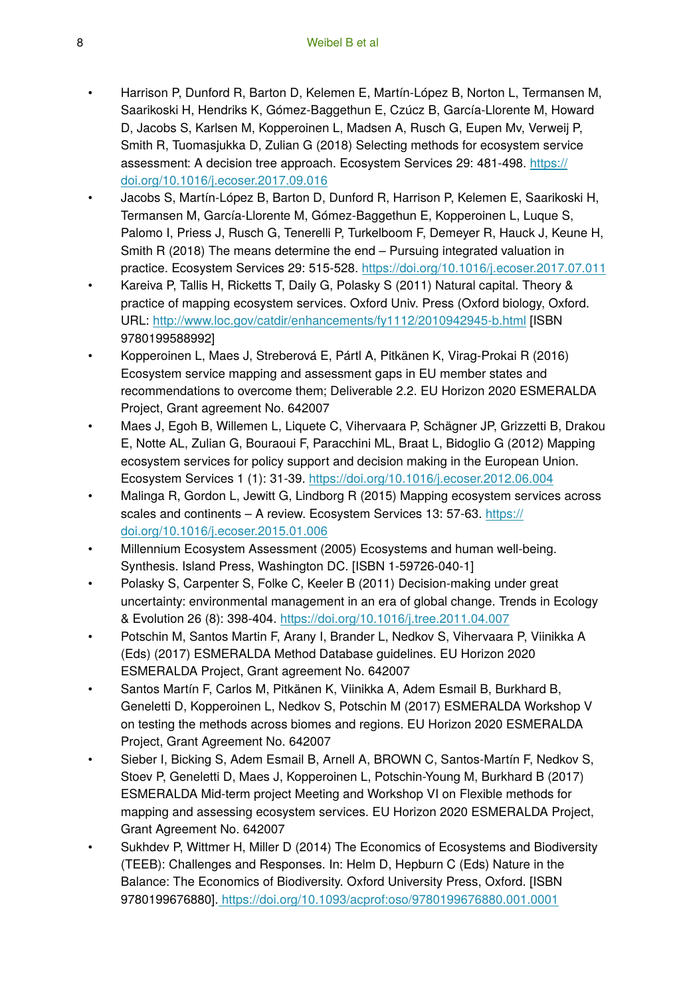- Harrison P, Dunford R, Barton D, Kelemen E, Martín-López B, Norton L, Termansen M, Saarikoski H, Hendriks K, Gómez-Baggethun E, Czúcz B, García-Llorente M, Howard D, Jacobs S, Karlsen M, Kopperoinen L, Madsen A, Rusch G, Eupen Mv, Verweij P, Smith R, Tuomasjukka D, Zulian G (2018) Selecting methods for ecosystem service assessment: A decision tree approach. Ecosystem Services 29: 481‑498. [https://](https://doi.org/10.1016/j.ecoser.2017.09.016) [doi.org/10.1016/j.ecoser.2017.09.016](https://doi.org/10.1016/j.ecoser.2017.09.016)
- Jacobs S, Martín-López B, Barton D, Dunford R, Harrison P, Kelemen E, Saarikoski H, Termansen M, García-Llorente M, Gómez-Baggethun E, Kopperoinen L, Luque S, Palomo I, Priess J, Rusch G, Tenerelli P, Turkelboom F, Demeyer R, Hauck J, Keune H, Smith R (2018) The means determine the end – Pursuing integrated valuation in practice. Ecosystem Services 29: 515‑528. <https://doi.org/10.1016/j.ecoser.2017.07.011>
- Kareiva P, Tallis H, Ricketts T, Daily G, Polasky S (2011) Natural capital. Theory & practice of mapping ecosystem services. Oxford Univ. Press (Oxford biology, Oxford. URL:<http://www.loc.gov/catdir/enhancements/fy1112/2010942945-b.html> [ISBN 9780199588992]
- Kopperoinen L, Maes J, Streberová E, Pártl A, Pitkänen K, Virag-Prokai R (2016) Ecosystem service mapping and assessment gaps in EU member states and recommendations to overcome them; Deliverable 2.2. EU Horizon 2020 ESMERALDA Project, Grant agreement No. 642007
- Maes J, Egoh B, Willemen L, Liquete C, Vihervaara P, Schägner JP, Grizzetti B, Drakou E, Notte AL, Zulian G, Bouraoui F, Paracchini ML, Braat L, Bidoglio G (2012) Mapping ecosystem services for policy support and decision making in the European Union. Ecosystem Services 1 (1): 31‑39. <https://doi.org/10.1016/j.ecoser.2012.06.004>
- Malinga R, Gordon L, Jewitt G, Lindborg R (2015) Mapping ecosystem services across scales and continents – A review. Ecosystem Services 13: 57‑63. [https://](https://doi.org/10.1016/j.ecoser.2015.01.006) [doi.org/10.1016/j.ecoser.2015.01.006](https://doi.org/10.1016/j.ecoser.2015.01.006)
- Millennium Ecosystem Assessment (2005) Ecosystems and human well-being. Synthesis. Island Press, Washington DC. [ISBN 1-59726-040-1]
- Polasky S, Carpenter S, Folke C, Keeler B (2011) Decision-making under great uncertainty: environmental management in an era of global change. Trends in Ecology & Evolution 26 (8): 398‑404.<https://doi.org/10.1016/j.tree.2011.04.007>
- Potschin M, Santos Martin F, Arany I, Brander L, Nedkov S, Vihervaara P, Viinikka A (Eds) (2017) ESMERALDA Method Database guidelines. EU Horizon 2020 ESMERALDA Project, Grant agreement No. 642007
- Santos Martín F, Carlos M, Pitkänen K, Viinikka A, Adem Esmail B, Burkhard B, Geneletti D, Kopperoinen L, Nedkov S, Potschin M (2017) ESMERALDA Workshop V on testing the methods across biomes and regions. EU Horizon 2020 ESMERALDA Project, Grant Agreement No. 642007
- Sieber I, Bicking S, Adem Esmail B, Arnell A, BROWN C, Santos-Martín F, Nedkov S, Stoev P, Geneletti D, Maes J, Kopperoinen L, Potschin-Young M, Burkhard B (2017) ESMERALDA Mid-term project Meeting and Workshop VI on Flexible methods for mapping and assessing ecosystem services. EU Horizon 2020 ESMERALDA Project, Grant Agreement No. 642007
- Sukhdev P, Wittmer H, Miller D (2014) The Economics of Ecosystems and Biodiversity (TEEB): Challenges and Responses. In: Helm D, Hepburn C (Eds) Nature in the Balance: The Economics of Biodiversity. Oxford University Press, Oxford. [ISBN 9780199676880][. https://doi.org/10.1093/acprof:oso/9780199676880.001.0001](https://doi.org/10.1093/acprof:oso/9780199676880.001.0001)